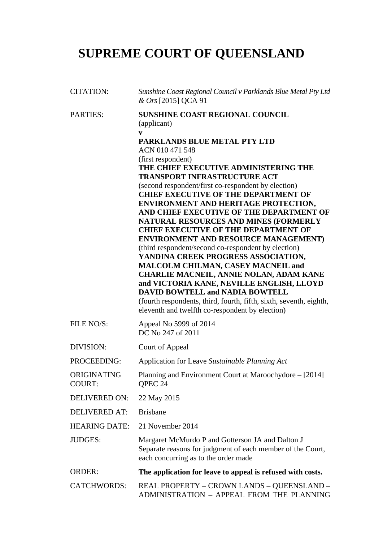# **SUPREME COURT OF QUEENSLAND**

| <b>CITATION:</b>             | Sunshine Coast Regional Council v Parklands Blue Metal Pty Ltd<br>& Ors [2015] QCA 91                                                                                                                                                                                                                                                                                                                                                                                                                                                                                                                                                                                                                                                                                                                                                                                                                                                                      |
|------------------------------|------------------------------------------------------------------------------------------------------------------------------------------------------------------------------------------------------------------------------------------------------------------------------------------------------------------------------------------------------------------------------------------------------------------------------------------------------------------------------------------------------------------------------------------------------------------------------------------------------------------------------------------------------------------------------------------------------------------------------------------------------------------------------------------------------------------------------------------------------------------------------------------------------------------------------------------------------------|
| <b>PARTIES:</b>              | <b>SUNSHINE COAST REGIONAL COUNCIL</b><br>(applicant)<br>V<br>PARKLANDS BLUE METAL PTY LTD<br>ACN 010 471 548<br>(first respondent)<br>THE CHIEF EXECUTIVE ADMINISTERING THE<br><b>TRANSPORT INFRASTRUCTURE ACT</b><br>(second respondent/first co-respondent by election)<br><b>CHIEF EXECUTIVE OF THE DEPARTMENT OF</b><br>ENVIRONMENT AND HERITAGE PROTECTION,<br>AND CHIEF EXECUTIVE OF THE DEPARTMENT OF<br>NATURAL RESOURCES AND MINES (FORMERLY<br><b>CHIEF EXECUTIVE OF THE DEPARTMENT OF</b><br><b>ENVIRONMENT AND RESOURCE MANAGEMENT)</b><br>(third respondent/second co-respondent by election)<br>YANDINA CREEK PROGRESS ASSOCIATION,<br>MALCOLM CHILMAN, CASEY MACNEIL and<br><b>CHARLIE MACNEIL, ANNIE NOLAN, ADAM KANE</b><br>and VICTORIA KANE, NEVILLE ENGLISH, LLOYD<br><b>DAVID BOWTELL and NADIA BOWTELL</b><br>(fourth respondents, third, fourth, fifth, sixth, seventh, eighth,<br>eleventh and twelfth co-respondent by election) |
| FILE NO/S:                   | Appeal No 5999 of 2014<br>DC No 247 of 2011                                                                                                                                                                                                                                                                                                                                                                                                                                                                                                                                                                                                                                                                                                                                                                                                                                                                                                                |
| DIVISION:                    | Court of Appeal                                                                                                                                                                                                                                                                                                                                                                                                                                                                                                                                                                                                                                                                                                                                                                                                                                                                                                                                            |
| PROCEEDING:                  | Application for Leave Sustainable Planning Act                                                                                                                                                                                                                                                                                                                                                                                                                                                                                                                                                                                                                                                                                                                                                                                                                                                                                                             |
| ORIGINATING<br><b>COURT:</b> | Planning and Environment Court at Maroochydore – [2014]<br>OPEC 24                                                                                                                                                                                                                                                                                                                                                                                                                                                                                                                                                                                                                                                                                                                                                                                                                                                                                         |
| <b>DELIVERED ON:</b>         | 22 May 2015                                                                                                                                                                                                                                                                                                                                                                                                                                                                                                                                                                                                                                                                                                                                                                                                                                                                                                                                                |
| <b>DELIVERED AT:</b>         | <b>Brisbane</b>                                                                                                                                                                                                                                                                                                                                                                                                                                                                                                                                                                                                                                                                                                                                                                                                                                                                                                                                            |
| <b>HEARING DATE:</b>         | 21 November 2014                                                                                                                                                                                                                                                                                                                                                                                                                                                                                                                                                                                                                                                                                                                                                                                                                                                                                                                                           |
| <b>JUDGES:</b>               | Margaret McMurdo P and Gotterson JA and Dalton J<br>Separate reasons for judgment of each member of the Court,<br>each concurring as to the order made                                                                                                                                                                                                                                                                                                                                                                                                                                                                                                                                                                                                                                                                                                                                                                                                     |
| <b>ORDER:</b>                | The application for leave to appeal is refused with costs.                                                                                                                                                                                                                                                                                                                                                                                                                                                                                                                                                                                                                                                                                                                                                                                                                                                                                                 |
| <b>CATCHWORDS:</b>           | REAL PROPERTY - CROWN LANDS - QUEENSLAND -<br>ADMINISTRATION - APPEAL FROM THE PLANNING                                                                                                                                                                                                                                                                                                                                                                                                                                                                                                                                                                                                                                                                                                                                                                                                                                                                    |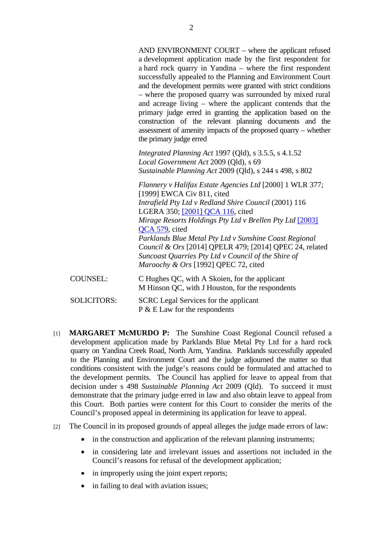|                    | AND ENVIRONMENT COURT - where the applicant refused<br>a development application made by the first respondent for<br>a hard rock quarry in Yandina – where the first respondent<br>successfully appealed to the Planning and Environment Court<br>and the development permits were granted with strict conditions<br>- where the proposed quarry was surrounded by mixed rural<br>and acreage living – where the applicant contends that the<br>primary judge erred in granting the application based on the<br>construction of the relevant planning documents and the<br>assessment of amenity impacts of the proposed quarry - whether<br>the primary judge erred |
|--------------------|----------------------------------------------------------------------------------------------------------------------------------------------------------------------------------------------------------------------------------------------------------------------------------------------------------------------------------------------------------------------------------------------------------------------------------------------------------------------------------------------------------------------------------------------------------------------------------------------------------------------------------------------------------------------|
|                    | Integrated Planning Act 1997 (Qld), s 3.5.5, s 4.1.52<br>Local Government Act 2009 (Qld), s 69<br>Sustainable Planning Act 2009 (Qld), s 244 s 498, s 802                                                                                                                                                                                                                                                                                                                                                                                                                                                                                                            |
|                    | Flannery v Halifax Estate Agencies Ltd [2000] 1 WLR 377;<br>[1999] EWCA Civ 811, cited<br>Intrafield Pty Ltd v Redland Shire Council (2001) 116<br>LGERA 350; [2001] QCA 116, cited<br>Mirage Resorts Holdings Pty Ltd v Brellen Pty Ltd [2003]<br>QCA 579, cited<br>Parklands Blue Metal Pty Ltd v Sunshine Coast Regional<br>Council & Ors [2014] QPELR 479; [2014] QPEC 24, related<br>Suncoast Quarries Pty Ltd v Council of the Shire of<br>Maroochy & Ors [1992] QPEC 72, cited                                                                                                                                                                                |
| <b>COUNSEL:</b>    | C Hughes QC, with A Skoien, for the applicant<br>M Hinson QC, with J Houston, for the respondents                                                                                                                                                                                                                                                                                                                                                                                                                                                                                                                                                                    |
| <b>SOLICITORS:</b> | <b>SCRC</b> Legal Services for the applicant<br>$P \& E$ Law for the respondents                                                                                                                                                                                                                                                                                                                                                                                                                                                                                                                                                                                     |

- [1] **MARGARET McMURDO P:** The Sunshine Coast Regional Council refused a development application made by Parklands Blue Metal Pty Ltd for a hard rock quarry on Yandina Creek Road, North Arm, Yandina. Parklands successfully appealed to the Planning and Environment Court and the judge adjourned the matter so that conditions consistent with the judge's reasons could be formulated and attached to the development permits. The Council has applied for leave to appeal from that decision under s 498 *Sustainable Planning Act* 2009 (Qld). To succeed it must demonstrate that the primary judge erred in law and also obtain leave to appeal from this Court. Both parties were content for this Court to consider the merits of the Council's proposed appeal in determining its application for leave to appeal.
- [2] The Council in its proposed grounds of appeal alleges the judge made errors of law:
	- in the construction and application of the relevant planning instruments;
	- in considering late and irrelevant issues and assertions not included in the Council's reasons for refusal of the development application;
	- in improperly using the joint expert reports;
	- in failing to deal with aviation issues;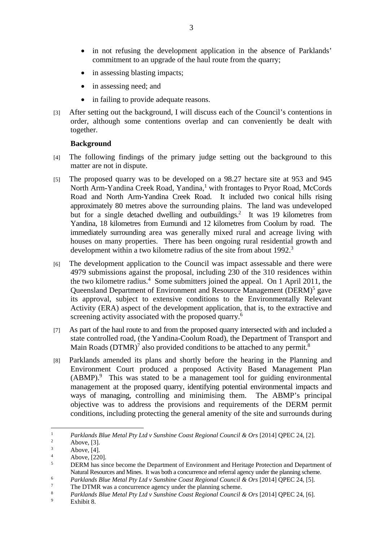- in not refusing the development application in the absence of Parklands' commitment to an upgrade of the haul route from the quarry;
- in assessing blasting impacts;
- in assessing need; and
- in failing to provide adequate reasons.
- [3] After setting out the background, I will discuss each of the Council's contentions in order, although some contentions overlap and can conveniently be dealt with together.

# **Background**

- [4] The following findings of the primary judge setting out the background to this matter are not in dispute.
- [5] The proposed quarry was to be developed on a 98.27 hectare site at 953 and 945 North Arm-Yandina Creek Road, Yandina,<sup>1</sup> with frontages to Pryor Road, McCords Road and North Arm-Yandina Creek Road. It included two conical hills rising approximately 80 metres above the surrounding plains. The land was undeveloped but for a single detached dwelling and outbuildings.<sup>2</sup> It was 19 kilometres from Yandina, 18 kilometres from Eumundi and 12 kilometres from Coolum by road. The immediately surrounding area was generally mixed rural and acreage living with houses on many properties. There has been ongoing rural residential growth and development within a two kilometre radius of the site from about 1992.<sup>3</sup>
- [6] The development application to the Council was impact assessable and there were 4979 submissions against the proposal, including 230 of the 310 residences within the two kilometre radius.<sup>4</sup> Some submitters joined the appeal. On 1 April 2011, the Queensland Department of Environment and Resource Management (DERM)<sup>5</sup> gave its approval, subject to extensive conditions to the Environmentally Relevant Activity (ERA) aspect of the development application, that is, to the extractive and screening activity associated with the proposed quarry.<sup>6</sup>
- [7] As part of the haul route to and from the proposed quarry intersected with and included a state controlled road, (the Yandina-Coolum Road), the Department of Transport and Main Roads (DTMR)<sup>7</sup> also provided conditions to be attached to any permit.<sup>8</sup>
- [8] Parklands amended its plans and shortly before the hearing in the Planning and Environment Court produced a proposed Activity Based Management Plan  $(ABMP).$ <sup>9</sup> This was stated to be a management tool for guiding environmental management at the proposed quarry, identifying potential environmental impacts and ways of managing, controlling and minimising them. The ABMP's principal objective was to address the provisions and requirements of the DERM permit conditions, including protecting the general amenity of the site and surrounds during

<sup>1</sup> *Parklands Blue Metal Pty Ltd v Sunshine Coast Regional Council & Ors* [2014] QPEC 24, [2].

Above, [3].

<sup>3</sup> Above, [4].

<sup>4</sup> Above, [220].

<sup>5</sup> DERM has since become the Department of Environment and Heritage Protection and Department of Natural Resources and Mines. It was both a concurrence and referral agency under the planning scheme.<br>  $P_{\text{cyl}}(A \cdot B)$  and  $P_{\text{cyl}}(A \cdot B)$  and  $P_{\text{cyl}}(A \cdot B)$  and  $P_{\text{cyl}}(A \cdot B)$  and  $P_{\text{cyl}}(A \cdot B)$  and  $P_{\text{cyl}}(A \cdot B$ 

*Parklands Blue Metal Pty Ltd v Sunshine Coast Regional Council & Ors* [2014] QPEC 24, [5].

The DTMR was a concurrence agency under the planning scheme.

<sup>&</sup>lt;sup>8</sup> *Parklands Blue Metal Pty Ltd v Sunshine Coast Regional Council & Ors* [2014] QPEC 24, [6].

Exhibit 8.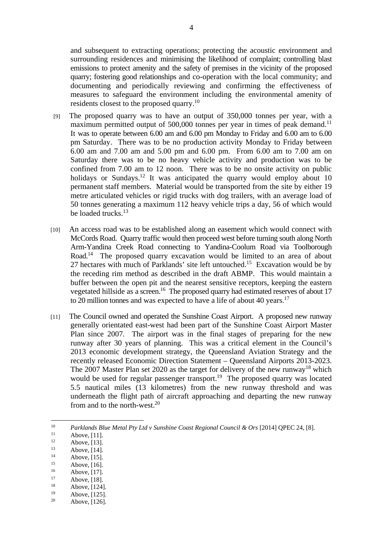and subsequent to extracting operations; protecting the acoustic environment and surrounding residences and minimising the likelihood of complaint; controlling blast emissions to protect amenity and the safety of premises in the vicinity of the proposed quarry; fostering good relationships and co-operation with the local community; and documenting and periodically reviewing and confirming the effectiveness of measures to safeguard the environment including the environmental amenity of residents closest to the proposed quarry.10

- [9] The proposed quarry was to have an output of 350,000 tonnes per year, with a maximum permitted output of  $500,000$  tonnes per year in times of peak demand.<sup>11</sup> It was to operate between 6.00 am and 6.00 pm Monday to Friday and 6.00 am to 6.00 pm Saturday. There was to be no production activity Monday to Friday between 6.00 am and 7.00 am and 5.00 pm and 6.00 pm. From 6.00 am to 7.00 am on Saturday there was to be no heavy vehicle activity and production was to be confined from 7.00 am to 12 noon. There was to be no onsite activity on public holidays or Sundays.<sup>12</sup> It was anticipated the quarry would employ about 10 permanent staff members. Material would be transported from the site by either 19 metre articulated vehicles or rigid trucks with dog trailers, with an average load of 50 tonnes generating a maximum 112 heavy vehicle trips a day, 56 of which would be loaded trucks.<sup>13</sup>
- [10] An access road was to be established along an easement which would connect with McCords Road. Quarry traffic would then proceed west before turning south along North Arm-Yandina Creek Road connecting to Yandina-Coolum Road via Toolborough Road.<sup>14</sup> The proposed quarry excavation would be limited to an area of about 27 hectares with much of Parklands' site left untouched.15 Excavation would be by the receding rim method as described in the draft ABMP. This would maintain a buffer between the open pit and the nearest sensitive receptors, keeping the eastern vegetated hillside as a screen.<sup>16</sup> The proposed quarry had estimated reserves of about 17 to 20 million tonnes and was expected to have a life of about 40 years.<sup>17</sup>
- [11] The Council owned and operated the Sunshine Coast Airport. A proposed new runway generally orientated east-west had been part of the Sunshine Coast Airport Master Plan since 2007. The airport was in the final stages of preparing for the new runway after 30 years of planning. This was a critical element in the Council's 2013 economic development strategy, the Queensland Aviation Strategy and the recently released Economic Direction Statement – Queensland Airports 2013-2023. The 2007 Master Plan set 2020 as the target for delivery of the new runway<sup>18</sup> which would be used for regular passenger transport.<sup>19</sup> The proposed quarry was located 5.5 nautical miles (13 kilometres) from the new runway threshold and was underneath the flight path of aircraft approaching and departing the new runway from and to the north-west.<sup>20</sup>

- Above, [14].
- $14$  Above, [15].

 $10<sup>10</sup>$ <sup>10</sup> *Parklands Blue Metal Pty Ltd v Sunshine Coast Regional Council & Ors* [2014] QPEC 24, [8].<br>
<sup>11</sup> Above, [11].

 $12$  Above, [13].

 $15$  Above, [16].

 $16$  Above, [17].

 $17$  Above, [18].

 $18$  Above, [124].

 $19$  Above, [125].

Above, [126].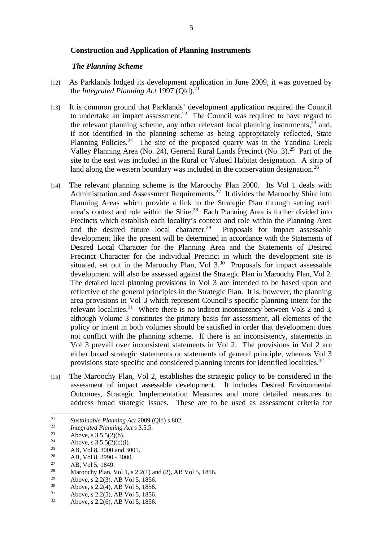#### **Construction and Application of Planning Instruments**

#### *The Planning Scheme*

- [12] As Parklands lodged its development application in June 2009, it was governed by the *Integrated Planning Act* 1997 (Old).<sup>21</sup>
- [13] It is common ground that Parklands' development application required the Council to undertake an impact assessment.<sup>22</sup> The Council was required to have regard to the relevant planning scheme, any other relevant local planning instruments, $^{23}$  and, if not identified in the planning scheme as being appropriately reflected, State Planning Policies.<sup>24</sup> The site of the proposed quarry was in the Yandina Creek Valley Planning Area (No. 24), General Rural Lands Precinct (No. 3).<sup>25</sup> Part of the site to the east was included in the Rural or Valued Habitat designation. A strip of land along the western boundary was included in the conservation designation.<sup>26</sup>
- [14] The relevant planning scheme is the Maroochy Plan 2000. Its Vol 1 deals with Administration and Assessment Requirements.<sup>27</sup> It divides the Maroochy Shire into Planning Areas which provide a link to the Strategic Plan through setting each area's context and role within the Shire.<sup>28</sup> Each Planning Area is further divided into Precincts which establish each locality's context and role within the Planning Area and the desired future local character.<sup>29</sup> Proposals for impact assessable development like the present will be determined in accordance with the Statements of Desired Local Character for the Planning Area and the Statements of Desired Precinct Character for the individual Precinct in which the development site is situated, set out in the Maroochy Plan, Vol  $3^{30}$  Proposals for impact assessable development will also be assessed against the Strategic Plan in Maroochy Plan, Vol 2. The detailed local planning provisions in Vol 3 are intended to be based upon and reflective of the general principles in the Strategic Plan. It is, however, the planning area provisions in Vol 3 which represent Council's specific planning intent for the relevant localities.<sup>31</sup> Where there is no indirect inconsistency between Vols 2 and 3, although Volume 3 constitutes the primary basis for assessment, all elements of the policy or intent in both volumes should be satisfied in order that development does not conflict with the planning scheme. If there is an inconsistency, statements in Vol 3 prevail over inconsistent statements in Vol 2. The provisions in Vol 2 are either broad strategic statements or statements of general principle, whereas Vol 3 provisions state specific and considered planning intents for identified localities.<sup>32</sup>
- [15] The Maroochy Plan, Vol 2, establishes the strategic policy to be considered in the assessment of impact assessable development. It includes Desired Environmental Outcomes, Strategic Implementation Measures and more detailed measures to address broad strategic issues. These are to be used as assessment criteria for

<sup>29</sup> Above, s 2.2(3), AB Vol 5, 1856.<br><sup>30</sup> Above 2.2(4), AB Vol 5, 1856.

 $31$  Above, s 2.2(5), AB Vol 5, 1856.<br>  $32$  Above s 2.2(6), AB Vol 5, 1856.

 $21\,$ <sup>21</sup> Sustainable Planning Act 2009 (Qld) s 802.<br>
<sup>22</sup> *Integrated Planning Act* s 3.5.5.<br>
<sup>23</sup> Above, s 3.5.5(2)(b).<br>
<sup>25</sup> Above, s 3.5.5(2)(c)(i).

<sup>&</sup>lt;sup>25</sup> AB, Vol 8, 3000 and 3001.

<sup>26</sup> AB, Vol 8, 2990 - 3000.

<sup>&</sup>lt;sup>27</sup> AB, Vol 5, 1849.

<sup>&</sup>lt;sup>28</sup> Maroochy Plan, Vol 1, s 2.2(1) and (2), AB Vol 5, 1856.<br><sup>29</sup> Above 2.2(2), AB Vol 5, 1856.

<sup>&</sup>lt;sup>30</sup> Above, s 2.2(4), AB Vol 5, 1856.<br><sup>31</sup> Above s 2.2(5), AB Vol 5, 1856.

<sup>32</sup> Above, s 2.2(6), AB Vol 5, 1856.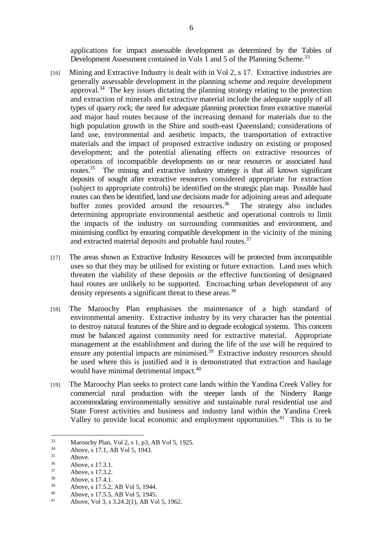applications for impact assessable development as determined by the Tables of Development Assessment contained in Vols 1 and 5 of the Planning Scheme.<sup>33</sup>

- [16] Mining and Extractive Industry is dealt with in Vol 2, s 17. Extractive industries are generally assessable development in the planning scheme and require development approval.34 The key issues dictating the planning strategy relating to the protection and extraction of minerals and extractive material include the adequate supply of all types of quarry rock; the need for adequate planning protection from extractive material and major haul routes because of the increasing demand for materials due to the high population growth in the Shire and south-east Queensland; considerations of land use, environmental and aesthetic impacts, the transportation of extractive materials and the impact of proposed extractive industry on existing or proposed development; and the potential alienating effects on extractive resources of operations of incompatible developments on or near resources or associated haul routes.<sup>35</sup> The mining and extractive industry strategy is that all known significant deposits of sought after extractive resources considered appropriate for extraction (subject to appropriate controls) be identified on the strategic plan map. Possible haul routes can then be identified, land use decisions made for adjoining areas and adequate buffer zones provided around the resources.<sup>36</sup> The strategy also includes determining appropriate environmental aesthetic and operational controls to limit the impacts of the industry on surrounding communities and environment, and minimising conflict by ensuring compatible development in the vicinity of the mining and extracted material deposits and probable haul routes.37
- [17] The areas shown as Extractive Industry Resources will be protected from incompatible uses so that they may be utilised for existing or future extraction. Land uses which threaten the viability of these deposits or the effective functioning of designated haul routes are unlikely to be supported. Encroaching urban development of any density represents a significant threat to these areas.<sup>38</sup>
- [18] The Maroochy Plan emphasises the maintenance of a high standard of environmental amenity. Extractive industry by its very character has the potential to destroy natural features of the Shire and to degrade ecological systems. This concern must be balanced against community need for extractive material. Appropriate management at the establishment and during the life of the use will be required to ensure any potential impacts are minimised.<sup>39</sup> Extractive industry resources should be used where this is justified and it is demonstrated that extraction and haulage would have minimal detrimental impact.<sup>40</sup>
- [19] The Maroochy Plan seeks to protect cane lands within the Yandina Creek Valley for commercial rural production with the steeper lands of the Ninderry Range accommodating environmentally sensitive and sustainable rural residential use and State Forest activities and business and industry land within the Yandina Creek Valley to provide local economic and employment opportunities.<sup>41</sup> This is to be

- $38$  Above, s 17.4.1.
- <sup>39</sup> Above, s 17.5.2, AB Vol 5, 1944.
- 40 Above, s 17.5.5, AB Vol 5, 1945.
- Above, Vol 3, s 3.24.2(1), AB Vol 5, 1962.

 $33$  $\frac{33}{14}$  Maroochy Plan, Vol 2, s 1, p3, AB Vol 5, 1925.

 $3^3$  Above, s 17.1, AB Vol 5, 1943.

Above.

 $36$  Above, s 17.3.1.

 $37$  Above, s 17.3.2.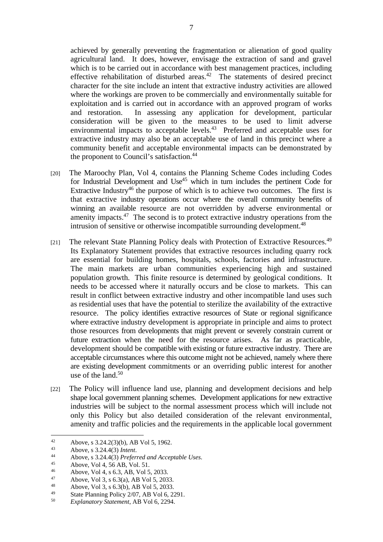achieved by generally preventing the fragmentation or alienation of good quality agricultural land. It does, however, envisage the extraction of sand and gravel which is to be carried out in accordance with best management practices, including effective rehabilitation of disturbed areas. $42$  The statements of desired precinct character for the site include an intent that extractive industry activities are allowed where the workings are proven to be commercially and environmentally suitable for exploitation and is carried out in accordance with an approved program of works and restoration. In assessing any application for development, particular consideration will be given to the measures to be used to limit adverse environmental impacts to acceptable levels.<sup>43</sup> Preferred and acceptable uses for extractive industry may also be an acceptable use of land in this precinct where a community benefit and acceptable environmental impacts can be demonstrated by the proponent to Council's satisfaction.<sup>44</sup>

- [20] The Maroochy Plan, Vol 4, contains the Planning Scheme Codes including Codes for Industrial Development and  $Use<sup>45</sup>$  which in turn includes the pertinent Code for Extractive Industry<sup>46</sup> the purpose of which is to achieve two outcomes. The first is that extractive industry operations occur where the overall community benefits of winning an available resource are not overridden by adverse environmental or amenity impacts. $47$  The second is to protect extractive industry operations from the intrusion of sensitive or otherwise incompatible surrounding development.<sup>48</sup>
- [21] The relevant State Planning Policy deals with Protection of Extractive Resources.<sup>49</sup> Its Explanatory Statement provides that extractive resources including quarry rock are essential for building homes, hospitals, schools, factories and infrastructure. The main markets are urban communities experiencing high and sustained population growth. This finite resource is determined by geological conditions. It needs to be accessed where it naturally occurs and be close to markets. This can result in conflict between extractive industry and other incompatible land uses such as residential uses that have the potential to sterilize the availability of the extractive resource. The policy identifies extractive resources of State or regional significance where extractive industry development is appropriate in principle and aims to protect those resources from developments that might prevent or severely constrain current or future extraction when the need for the resource arises. As far as practicable, development should be compatible with existing or future extractive industry. There are acceptable circumstances where this outcome might not be achieved, namely where there are existing development commitments or an overriding public interest for another use of the land. $50$
- [22] The Policy will influence land use, planning and development decisions and help shape local government planning schemes. Development applications for new extractive industries will be subject to the normal assessment process which will include not only this Policy but also detailed consideration of the relevant environmental, amenity and traffic policies and the requirements in the applicable local government

 $42$ 42 Above, s 3.24.2(3)(b), AB Vol 5, 1962.

<sup>43</sup> Above, s 3.24.4(3) *Intent*.<br>
44 Above, s 3.24.4(3) *Preferred and Acceptable Uses*.<br>
45 Above, Vol 4, 56 AB, Vol. 51.

<sup>46</sup> Above, Vol 4, s 6.3, AB, Vol 5, 2033.

<sup>47</sup> Above, Vol 3, s 6.3(a), AB Vol 5, 2033.

<sup>48</sup> Above, Vol 3, s 6.3(b), AB Vol 5, 2033.

<sup>49</sup> State Planning Policy 2/07, AB Vol 6, 2291.

<sup>50</sup> *Explanatory Statement*, AB Vol 6, 2294.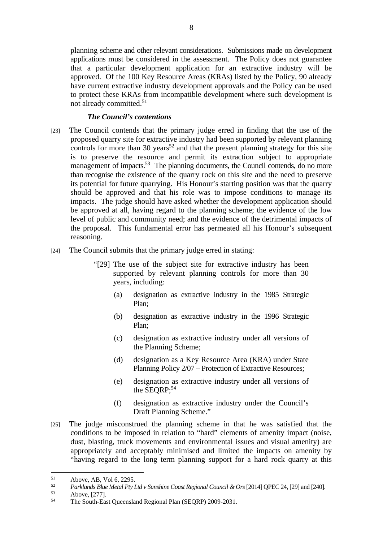planning scheme and other relevant considerations. Submissions made on development applications must be considered in the assessment. The Policy does not guarantee that a particular development application for an extractive industry will be approved. Of the 100 Key Resource Areas (KRAs) listed by the Policy, 90 already have current extractive industry development approvals and the Policy can be used to protect these KRAs from incompatible development where such development is not already committed.<sup>51</sup>

#### *The Council's contentions*

- [23] The Council contends that the primary judge erred in finding that the use of the proposed quarry site for extractive industry had been supported by relevant planning controls for more than 30 years<sup>52</sup> and that the present planning strategy for this site is to preserve the resource and permit its extraction subject to appropriate management of impacts.<sup>53</sup> The planning documents, the Council contends, do no more than recognise the existence of the quarry rock on this site and the need to preserve its potential for future quarrying. His Honour's starting position was that the quarry should be approved and that his role was to impose conditions to manage its impacts. The judge should have asked whether the development application should be approved at all, having regard to the planning scheme; the evidence of the low level of public and community need; and the evidence of the detrimental impacts of the proposal. This fundamental error has permeated all his Honour's subsequent reasoning.
- [24] The Council submits that the primary judge erred in stating:
	- "[29] The use of the subject site for extractive industry has been supported by relevant planning controls for more than 30 years, including:
		- (a) designation as extractive industry in the 1985 Strategic Plan;
		- (b) designation as extractive industry in the 1996 Strategic Plan;
		- (c) designation as extractive industry under all versions of the Planning Scheme;
		- (d) designation as a Key Resource Area (KRA) under State Planning Policy 2/07 – Protection of Extractive Resources;
		- (e) designation as extractive industry under all versions of the SEQRP; $54$
		- (f) designation as extractive industry under the Council's Draft Planning Scheme."
- [25] The judge misconstrued the planning scheme in that he was satisfied that the conditions to be imposed in relation to "hard" elements of amenity impact (noise, dust, blasting, truck movements and environmental issues and visual amenity) are appropriately and acceptably minimised and limited the impacts on amenity by "having regard to the long term planning support for a hard rock quarry at this

 $51$  Above, AB, Vol 6, 2295.

<sup>&</sup>lt;sup>52</sup> *Parklands Blue Metal Pty Ltd v Sunshine Coast Regional Council & Ors* [2014] QPEC 24, [29] and [240].<br>
<sup>53</sup> Above, [277].<br>
<sup>54</sup> The South East Queensland Begional Plan (SEOPP) 2000-2021.

The South-East Queensland Regional Plan (SEQRP) 2009-2031.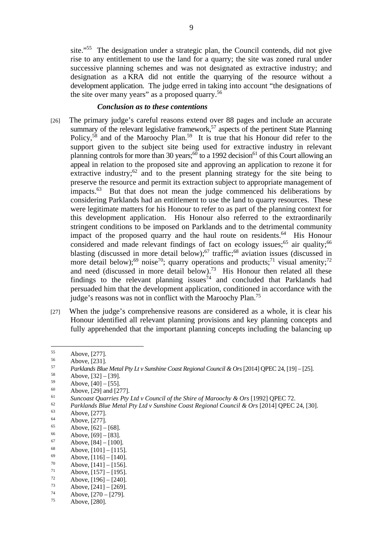site."55 The designation under a strategic plan, the Council contends, did not give rise to any entitlement to use the land for a quarry; the site was zoned rural under successive planning schemes and was not designated as extractive industry; and designation as a KRA did not entitle the quarrying of the resource without a development application. The judge erred in taking into account "the designations of the site over many years" as a proposed quarry.56

#### *Conclusion as to these contentions*

- [26] The primary judge's careful reasons extend over 88 pages and include an accurate summary of the relevant legislative framework,<sup>57</sup> aspects of the pertinent State Planning Policy,<sup>58</sup> and of the Maroochy Plan.<sup>59</sup> It is true that his Honour did refer to the support given to the subject site being used for extractive industry in relevant planning controls for more than 30 years; $60$  to a 1992 decision<sup>61</sup> of this Court allowing an appeal in relation to the proposed site and approving an application to rezone it for extractive industry; $62$  and to the present planning strategy for the site being to preserve the resource and permit its extraction subject to appropriate management of impacts.<sup>63</sup> But that does not mean the judge commenced his deliberations by considering Parklands had an entitlement to use the land to quarry resources. These were legitimate matters for his Honour to refer to as part of the planning context for this development application. His Honour also referred to the extraordinarily stringent conditions to be imposed on Parklands and to the detrimental community impact of the proposed quarry and the haul route on residents.<sup>64</sup> His Honour considered and made relevant findings of fact on ecology issues; $65$  air quality; $66$ blasting (discussed in more detail below);<sup>67</sup> traffic;<sup>68</sup> aviation issues (discussed in more detail below);<sup>69</sup> noise<sup>70</sup>; quarry operations and products;<sup>71</sup> visual amenity;<sup>72</sup> and need (discussed in more detail below).<sup>73</sup> His Honour then related all these findings to the relevant planning issues<sup>74</sup> and concluded that Parklands had persuaded him that the development application, conditioned in accordance with the judge's reasons was not in conflict with the Maroochy Plan.<sup>75</sup>
- [27] When the judge's comprehensive reasons are considered as a whole, it is clear his Honour identified all relevant planning provisions and key planning concepts and fully apprehended that the important planning concepts including the balancing up

 $55$  Above, [277].

 $56$  Above, [231].

<sup>57</sup>*Parklands Blue Metal Pty Lt v Sunshine Coast Regional Council & Ors* [2014] QPEC 24, [19] – [25]. 58 Above, [32] – [39].

 $59$  Above,  $[40] - [55]$ .<br>  $60$  Above [20] and [22]

 $60$  Above, [29] and [277].

<sup>&</sup>lt;sup>61</sup><br>
<sup>61</sup> Suncoast Quarries Pty Ltd v Council of the Shire of Maroochy & Ors [1992] QPEC 72.<br> *Parklands Blue Metal Pty Ltd v Sunshine Coast Regional Council & Ors* [2014] QPEC 24, [30].<br>
Above, [277].

 $64$  Above, [277].

<sup>&</sup>lt;sup>65</sup> Above, [62] – [68].

 $66$  Above, [69] – [83].

 $67$  Above,  $[84] - [100]$ .

Above,  $[101] - [115]$ .

 $69$  Above, [116] – [140].

 $70$  Above, [141] – [156].

 $\frac{71}{72}$  Above, [157] – [195].

 $\frac{72}{73}$  Above, [196] – [240].

 $7^3$  Above,  $[241] - [269]$ .<br>  $7^4$  Above [270 [270]  $7^{\frac{74}{5}}$  Above, [270 – [279].

Above, [280].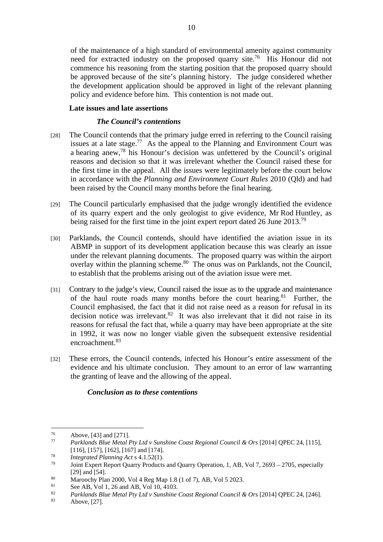of the maintenance of a high standard of environmental amenity against community need for extracted industry on the proposed quarry site.<sup>76</sup> His Honour did not commence his reasoning from the starting position that the proposed quarry should be approved because of the site's planning history. The judge considered whether the development application should be approved in light of the relevant planning policy and evidence before him. This contention is not made out.

# **Late issues and late assertions**

# *The Council's contentions*

- [28] The Council contends that the primary judge erred in referring to the Council raising issues at a late stage.<sup>77</sup> As the appeal to the Planning and Environment Court was a hearing anew,78 his Honour's decision was unfettered by the Council's original reasons and decision so that it was irrelevant whether the Council raised these for the first time in the appeal. All the issues were legitimately before the court below in accordance with the *Planning and Environment Court Rules* 2010 (Qld) and had been raised by the Council many months before the final hearing.
- [29] The Council particularly emphasised that the judge wrongly identified the evidence of its quarry expert and the only geologist to give evidence, Mr Rod Huntley, as being raised for the first time in the joint expert report dated 26 June 2013.<sup>79</sup>
- [30] Parklands, the Council contends, should have identified the aviation issue in its ABMP in support of its development application because this was clearly an issue under the relevant planning documents. The proposed quarry was within the airport overlay within the planning scheme.<sup>80</sup> The onus was on Parklands, not the Council, to establish that the problems arising out of the aviation issue were met.
- [31] Contrary to the judge's view, Council raised the issue as to the upgrade and maintenance of the haul route roads many months before the court hearing.<sup>81</sup> Further, the Council emphasised, the fact that it did not raise need as a reason for refusal in its decision notice was irrelevant.<sup>82</sup> It was also irrelevant that it did not raise in its reasons for refusal the fact that, while a quarry may have been appropriate at the site in 1992, it was now no longer viable given the subsequent extensive residential encroachment.83
- [32] These errors, the Council contends, infected his Honour's entire assessment of the evidence and his ultimate conclusion. They amount to an error of law warranting the granting of leave and the allowing of the appeal.

# *Conclusion as to these contentions*

 $\overline{a}$  $\frac{76}{77}$  Above, [43] and [271].

<sup>77</sup> *Parklands Blue Metal Pty Ltd v Sunshine Coast Regional Council & Ors* [2014] QPEC 24, [115],

<sup>[116], [157], [162], [167]</sup> and [174]. 78 *Integrated Planning Act* s 4.1.52(1). 79 Joint Expert Report Quarry Products and Quarry Operation, 1, AB, Vol 7, 2693 – 2705, especially

<sup>[29]</sup> and [54].<br>
Maroochy Plan 2000, Vol 4 Reg Map 1.8 (1 of 7), AB, Vol 5 2023.<br>
See AB, Vol 1.26 and AB, Vol 10, 4103.

<sup>&</sup>lt;sup>81</sup> See AB, Vol 1, 26 and AB, Vol 10, 4103.

<sup>82</sup> *Parklands Blue Metal Pty Ltd v Sunshine Coast Regional Council & Ors* [2014] QPEC 24, [246]. 83 Above, [27].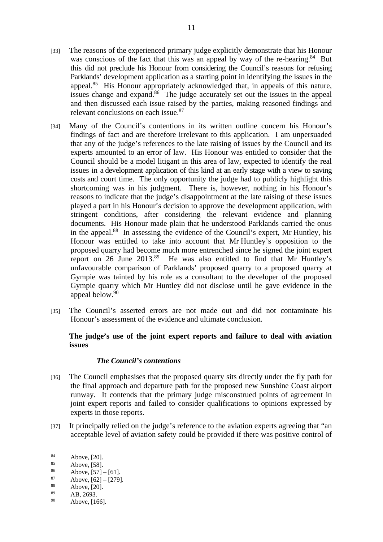- [33] The reasons of the experienced primary judge explicitly demonstrate that his Honour was conscious of the fact that this was an appeal by way of the re-hearing.<sup>84</sup> But this did not preclude his Honour from considering the Council's reasons for refusing Parklands' development application as a starting point in identifying the issues in the appeal.85 His Honour appropriately acknowledged that, in appeals of this nature, issues change and expand.<sup>86</sup> The judge accurately set out the issues in the appeal and then discussed each issue raised by the parties, making reasoned findings and relevant conclusions on each issue.87
- [34] Many of the Council's contentions in its written outline concern his Honour's findings of fact and are therefore irrelevant to this application. I am unpersuaded that any of the judge's references to the late raising of issues by the Council and its experts amounted to an error of law. His Honour was entitled to consider that the Council should be a model litigant in this area of law, expected to identify the real issues in a development application of this kind at an early stage with a view to saving costs and court time. The only opportunity the judge had to publicly highlight this shortcoming was in his judgment. There is, however, nothing in his Honour's reasons to indicate that the judge's disappointment at the late raising of these issues played a part in his Honour's decision to approve the development application, with stringent conditions, after considering the relevant evidence and planning documents. His Honour made plain that he understood Parklands carried the onus in the appeal.88 In assessing the evidence of the Council's expert, Mr Huntley, his Honour was entitled to take into account that Mr Huntley's opposition to the proposed quarry had become much more entrenched since he signed the joint expert report on 26 June 2013.<sup>89</sup> He was also entitled to find that Mr Huntley's unfavourable comparison of Parklands' proposed quarry to a proposed quarry at Gympie was tainted by his role as a consultant to the developer of the proposed Gympie quarry which Mr Huntley did not disclose until he gave evidence in the appeal below.<sup>90</sup>
- [35] The Council's asserted errors are not made out and did not contaminate his Honour's assessment of the evidence and ultimate conclusion.

# **The judge's use of the joint expert reports and failure to deal with aviation issues**

# *The Council's contentions*

- [36] The Council emphasises that the proposed quarry sits directly under the fly path for the final approach and departure path for the proposed new Sunshine Coast airport runway. It contends that the primary judge misconstrued points of agreement in joint expert reports and failed to consider qualifications to opinions expressed by experts in those reports.
- [37] It principally relied on the judge's reference to the aviation experts agreeing that "an acceptable level of aviation safety could be provided if there was positive control of

<sup>84</sup> Above, [20].

 $85$  Above, [58].

 $86$  Above, [57] – [61].

 $87$  Above, [62] – [279].

 $88$  Above, [20].

 $AB, 2693.$ 

Above, [166].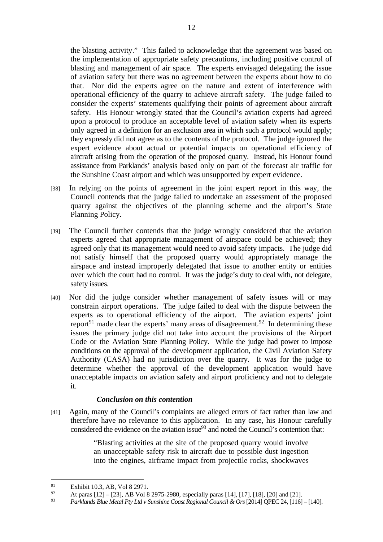the blasting activity." This failed to acknowledge that the agreement was based on the implementation of appropriate safety precautions, including positive control of blasting and management of air space. The experts envisaged delegating the issue of aviation safety but there was no agreement between the experts about how to do that. Nor did the experts agree on the nature and extent of interference with operational efficiency of the quarry to achieve aircraft safety. The judge failed to consider the experts' statements qualifying their points of agreement about aircraft safety. His Honour wrongly stated that the Council's aviation experts had agreed upon a protocol to produce an acceptable level of aviation safety when its experts only agreed in a definition for an exclusion area in which such a protocol would apply; they expressly did not agree as to the contents of the protocol. The judge ignored the expert evidence about actual or potential impacts on operational efficiency of aircraft arising from the operation of the proposed quarry. Instead, his Honour found assistance from Parklands' analysis based only on part of the forecast air traffic for the Sunshine Coast airport and which was unsupported by expert evidence.

- [38] In relying on the points of agreement in the joint expert report in this way, the Council contends that the judge failed to undertake an assessment of the proposed quarry against the objectives of the planning scheme and the airport's State Planning Policy.
- [39] The Council further contends that the judge wrongly considered that the aviation experts agreed that appropriate management of airspace could be achieved; they agreed only that its management would need to avoid safety impacts. The judge did not satisfy himself that the proposed quarry would appropriately manage the airspace and instead improperly delegated that issue to another entity or entities over which the court had no control. It was the judge's duty to deal with, not delegate, safety issues.
- [40] Nor did the judge consider whether management of safety issues will or may constrain airport operations. The judge failed to deal with the dispute between the experts as to operational efficiency of the airport. The aviation experts' joint report<sup>91</sup> made clear the experts' many areas of disagreement.<sup>92</sup> In determining these issues the primary judge did not take into account the provisions of the Airport Code or the Aviation State Planning Policy. While the judge had power to impose conditions on the approval of the development application, the Civil Aviation Safety Authority (CASA) had no jurisdiction over the quarry. It was for the judge to determine whether the approval of the development application would have unacceptable impacts on aviation safety and airport proficiency and not to delegate it.

# *Conclusion on this contention*

[41] Again, many of the Council's complaints are alleged errors of fact rather than law and therefore have no relevance to this application. In any case, his Honour carefully considered the evidence on the aviation issue $93$  and noted the Council's contention that:

> "Blasting activities at the site of the proposed quarry would involve an unacceptable safety risk to aircraft due to possible dust ingestion into the engines, airframe impact from projectile rocks, shockwaves

<sup>&</sup>lt;sup>91</sup> Exhibit 10.3, AB, Vol 8 2971.

<sup>92</sup> At paras [12] – [23], AB Vol 8 2975-2980, especially paras [14], [17], [18], [20] and [21].<br>  $\frac{93}{2}$  Bayliands Plus Matal Pty Ltdy Synghine Coast Beginnal Council & Ous [2014] OPEC 24 [116]

<sup>93</sup> *Parklands Blue Metal Pty Ltd v Sunshine Coast Regional Council & Ors* [2014] QPEC 24, [116] – [140].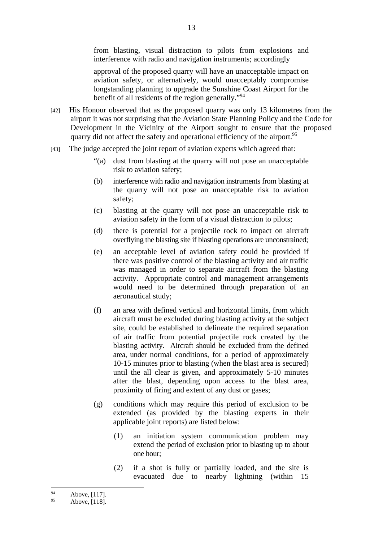from blasting, visual distraction to pilots from explosions and interference with radio and navigation instruments; accordingly

approval of the proposed quarry will have an unacceptable impact on aviation safety, or alternatively, would unacceptably compromise longstanding planning to upgrade the Sunshine Coast Airport for the benefit of all residents of the region generally."94

- [42] His Honour observed that as the proposed quarry was only 13 kilometres from the airport it was not surprising that the Aviation State Planning Policy and the Code for Development in the Vicinity of the Airport sought to ensure that the proposed quarry did not affect the safety and operational efficiency of the airport.<sup>95</sup>
- [43] The judge accepted the joint report of aviation experts which agreed that:
	- "(a) dust from blasting at the quarry will not pose an unacceptable risk to aviation safety;
	- (b) interference with radio and navigation instruments from blasting at the quarry will not pose an unacceptable risk to aviation safety;
	- (c) blasting at the quarry will not pose an unacceptable risk to aviation safety in the form of a visual distraction to pilots;
	- (d) there is potential for a projectile rock to impact on aircraft overflying the blasting site if blasting operations are unconstrained;
	- (e) an acceptable level of aviation safety could be provided if there was positive control of the blasting activity and air traffic was managed in order to separate aircraft from the blasting activity. Appropriate control and management arrangements would need to be determined through preparation of an aeronautical study;
	- (f) an area with defined vertical and horizontal limits, from which aircraft must be excluded during blasting activity at the subject site, could be established to delineate the required separation of air traffic from potential projectile rock created by the blasting activity. Aircraft should be excluded from the defined area, under normal conditions, for a period of approximately 10-15 minutes prior to blasting (when the blast area is secured) until the all clear is given, and approximately 5-10 minutes after the blast, depending upon access to the blast area, proximity of firing and extent of any dust or gases;
	- (g) conditions which may require this period of exclusion to be extended (as provided by the blasting experts in their applicable joint reports) are listed below:
		- (1) an initiation system communication problem may extend the period of exclusion prior to blasting up to about one hour;
		- (2) if a shot is fully or partially loaded, and the site is evacuated due to nearby lightning (within 15

 $94$  Above, [117].

Above, [118].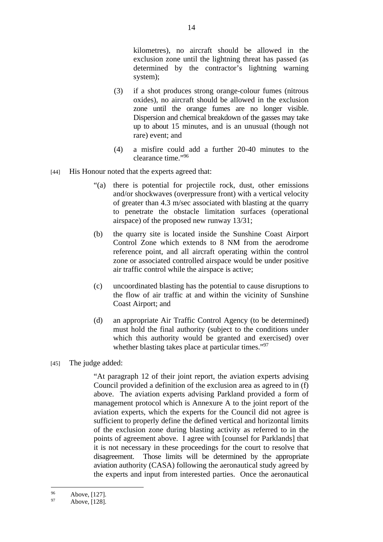kilometres), no aircraft should be allowed in the exclusion zone until the lightning threat has passed (as determined by the contractor's lightning warning system);

- (3) if a shot produces strong orange-colour fumes (nitrous oxides), no aircraft should be allowed in the exclusion zone until the orange fumes are no longer visible. Dispersion and chemical breakdown of the gasses may take up to about 15 minutes, and is an unusual (though not rare) event; and
- (4) a misfire could add a further 20-40 minutes to the clearance time."<sup>96</sup>
- [44] His Honour noted that the experts agreed that:
	- "(a) there is potential for projectile rock, dust, other emissions and/or shockwaves (overpressure front) with a vertical velocity of greater than 4.3 m/sec associated with blasting at the quarry to penetrate the obstacle limitation surfaces (operational airspace) of the proposed new runway 13/31;
	- (b) the quarry site is located inside the Sunshine Coast Airport Control Zone which extends to 8 NM from the aerodrome reference point, and all aircraft operating within the control zone or associated controlled airspace would be under positive air traffic control while the airspace is active;
	- (c) uncoordinated blasting has the potential to cause disruptions to the flow of air traffic at and within the vicinity of Sunshine Coast Airport; and
	- (d) an appropriate Air Traffic Control Agency (to be determined) must hold the final authority (subject to the conditions under which this authority would be granted and exercised) over whether blasting takes place at particular times."<sup>97</sup>
- [45] The judge added:

"At paragraph 12 of their joint report, the aviation experts advising Council provided a definition of the exclusion area as agreed to in (f) above. The aviation experts advising Parkland provided a form of management protocol which is Annexure A to the joint report of the aviation experts, which the experts for the Council did not agree is sufficient to properly define the defined vertical and horizontal limits of the exclusion zone during blasting activity as referred to in the points of agreement above. I agree with [counsel for Parklands] that it is not necessary in these proceedings for the court to resolve that disagreement. Those limits will be determined by the appropriate aviation authority (CASA) following the aeronautical study agreed by the experts and input from interested parties. Once the aeronautical

 $\overline{a}$  $^{96}$  Above, [127].

Above, [128].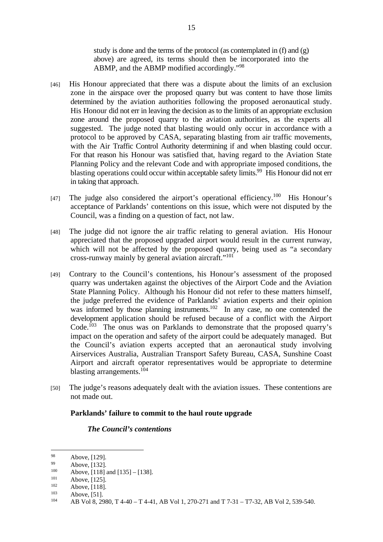study is done and the terms of the protocol (as contemplated in  $(f)$  and  $(g)$ ) above) are agreed, its terms should then be incorporated into the ABMP, and the ABMP modified accordingly."98

- [46] His Honour appreciated that there was a dispute about the limits of an exclusion zone in the airspace over the proposed quarry but was content to have those limits determined by the aviation authorities following the proposed aeronautical study. His Honour did not err in leaving the decision as to the limits of an appropriate exclusion zone around the proposed quarry to the aviation authorities, as the experts all suggested. The judge noted that blasting would only occur in accordance with a protocol to be approved by CASA, separating blasting from air traffic movements, with the Air Traffic Control Authority determining if and when blasting could occur. For that reason his Honour was satisfied that, having regard to the Aviation State Planning Policy and the relevant Code and with appropriate imposed conditions, the blasting operations could occur within acceptable safety limits.<sup>99</sup> His Honour did not err in taking that approach.
- [47] The judge also considered the airport's operational efficiency.<sup>100</sup> His Honour's acceptance of Parklands' contentions on this issue, which were not disputed by the Council, was a finding on a question of fact, not law.
- [48] The judge did not ignore the air traffic relating to general aviation. His Honour appreciated that the proposed upgraded airport would result in the current runway, which will not be affected by the proposed quarry, being used as "a secondary cross-runway mainly by general aviation aircraft."101
- [49] Contrary to the Council's contentions, his Honour's assessment of the proposed quarry was undertaken against the objectives of the Airport Code and the Aviation State Planning Policy. Although his Honour did not refer to these matters himself, the judge preferred the evidence of Parklands' aviation experts and their opinion was informed by those planning instruments.<sup>102</sup> In any case, no one contended the development application should be refused because of a conflict with the Airport Code.<sup>103</sup> The onus was on Parklands to demonstrate that the proposed quarry's impact on the operation and safety of the airport could be adequately managed. But the Council's aviation experts accepted that an aeronautical study involving Airservices Australia, Australian Transport Safety Bureau, CASA, Sunshine Coast Airport and aircraft operator representatives would be appropriate to determine blasting arrangements.<sup>104</sup>
- [50] The judge's reasons adequately dealt with the aviation issues. These contentions are not made out.

# **Parklands' failure to commit to the haul route upgrade**

#### *The Council's contentions*

<sup>98</sup> Above, [129].

 $99$  Above, [132].

<sup>100</sup> Above, [118] and [135] – [138].<br>
101 Above, [125].<br>
102 Above, [118].<br>
103 Above, [51].<br>
104 AB Vol 8, 2980, T 4-40 – T 4-41, AB Vol 1, 270-271 and T 7-31 – T7-32, AB Vol 2, 539-540.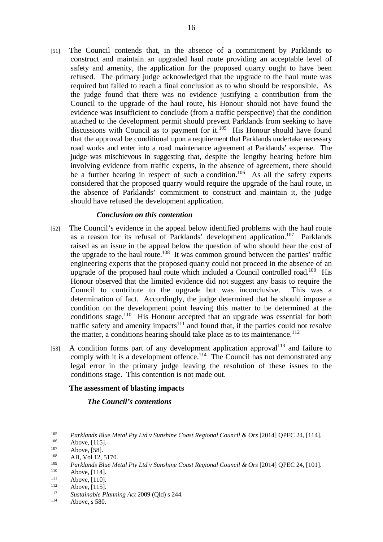[51] The Council contends that, in the absence of a commitment by Parklands to construct and maintain an upgraded haul route providing an acceptable level of safety and amenity, the application for the proposed quarry ought to have been refused. The primary judge acknowledged that the upgrade to the haul route was required but failed to reach a final conclusion as to who should be responsible. As the judge found that there was no evidence justifying a contribution from the Council to the upgrade of the haul route, his Honour should not have found the evidence was insufficient to conclude (from a traffic perspective) that the condition attached to the development permit should prevent Parklands from seeking to have discussions with Council as to payment for it.<sup>105</sup> His Honour should have found that the approval be conditional upon a requirement that Parklands undertake necessary road works and enter into a road maintenance agreement at Parklands' expense. The judge was mischievous in suggesting that, despite the lengthy hearing before him involving evidence from traffic experts, in the absence of agreement, there should be a further hearing in respect of such a condition.<sup>106</sup> As all the safety experts considered that the proposed quarry would require the upgrade of the haul route, in the absence of Parklands' commitment to construct and maintain it, the judge should have refused the development application.

# *Conclusion on this contention*

- [52] The Council's evidence in the appeal below identified problems with the haul route as a reason for its refusal of Parklands' development application.107 Parklands raised as an issue in the appeal below the question of who should bear the cost of the upgrade to the haul route.<sup>108</sup> It was common ground between the parties' traffic engineering experts that the proposed quarry could not proceed in the absence of an upgrade of the proposed haul route which included a Council controlled road.<sup>109</sup> His Honour observed that the limited evidence did not suggest any basis to require the Council to contribute to the upgrade but was inconclusive. This was a determination of fact. Accordingly, the judge determined that he should impose a condition on the development point leaving this matter to be determined at the conditions stage.<sup>110</sup> His Honour accepted that an upgrade was essential for both traffic safety and amenity impacts $111$  and found that, if the parties could not resolve the matter, a conditions hearing should take place as to its maintenance.<sup>112</sup>
- [53] A condition forms part of any development application approval<sup>113</sup> and failure to comply with it is a development offence.<sup>114</sup> The Council has not demonstrated any legal error in the primary judge leaving the resolution of these issues to the conditions stage. This contention is not made out.

#### **The assessment of blasting impacts**

# *The Council's contentions*

<sup>&</sup>lt;sup>105</sup> *Parklands Blue Metal Pty Ltd v Sunshine Coast Regional Council & Ors* [2014] QPEC 24, [114].<br>
<sup>106</sup> Above, [115].<br>
<sup>107</sup> Above, [58].<br> **AB, Vol 12, 5170.** 

<sup>109</sup> *Parklands Blue Metal Pty Ltd v Sunshine Coast Regional Council & Ors* [2014] QPEC 24, [101].<br>
110 Above, [114].<br>
<sup>111</sup> Above, [115].<br> *Sustainable Planning Act* 2009 (Qld) s 244.<br>
<sup>114</sup> Above a 580

Above, s 580.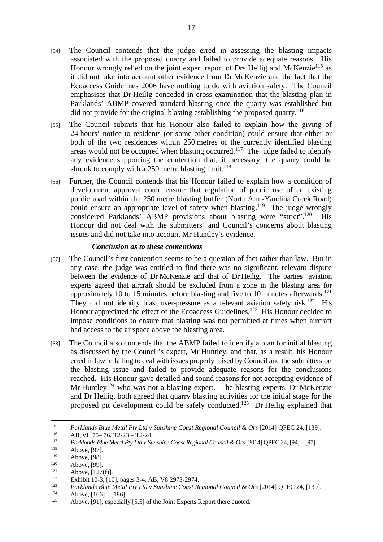- [54] The Council contends that the judge erred in assessing the blasting impacts associated with the proposed quarry and failed to provide adequate reasons. His Honour wrongly relied on the joint expert report of Drs Heilig and McKenzie<sup>115</sup> as it did not take into account other evidence from Dr McKenzie and the fact that the Ecoaccess Guidelines 2006 have nothing to do with aviation safety. The Council emphasises that Dr Heilig conceded in cross-examination that the blasting plan in Parklands' ABMP covered standard blasting once the quarry was established but did not provide for the original blasting establishing the proposed quarry.<sup>116</sup>
- [55] The Council submits that his Honour also failed to explain how the giving of 24 hours' notice to residents (or some other condition) could ensure that either or both of the two residences within 250 metres of the currently identified blasting areas would not be occupied when blasting occurred.<sup>117</sup> The judge failed to identify any evidence supporting the contention that, if necessary, the quarry could be shrunk to comply with a  $250$  metre blasting limit.<sup>118</sup>
- [56] Further, the Council contends that his Honour failed to explain how a condition of development approval could ensure that regulation of public use of an existing public road within the 250 metre blasting buffer (North Arm-Yandina Creek Road) could ensure an appropriate level of safety when blasting.<sup>119</sup> The judge wrongly considered Parklands' ABMP provisions about blasting were "strict".120 His Honour did not deal with the submitters' and Council's concerns about blasting issues and did not take into account Mr Huntley's evidence.

#### *Conclusion as to these contentions*

- [57] The Council's first contention seems to be a question of fact rather than law. But in any case, the judge was entitled to find there was no significant, relevant dispute between the evidence of Dr McKenzie and that of Dr Heilig. The parties' aviation experts agreed that aircraft should be excluded from a zone in the blasting area for approximately 10 to 15 minutes before blasting and five to 10 minutes afterwards.<sup>121</sup> They did not identify blast over-pressure as a relevant aviation safety risk.<sup>122</sup> His Honour appreciated the effect of the Ecoaccess Guidelines.<sup>123</sup> His Honour decided to impose conditions to ensure that blasting was not permitted at times when aircraft had access to the airspace above the blasting area.
- [58] The Council also contends that the ABMP failed to identify a plan for initial blasting as discussed by the Council's expert, Mr Huntley, and that, as a result, his Honour erred in law in failing to deal with issues properly raised by Council and the submitters on the blasting issue and failed to provide adequate reasons for the conclusions reached. His Honour gave detailed and sound reasons for not accepting evidence of Mr Huntley<sup>124</sup> who was not a blasting expert. The blasting experts, Dr McKenzie and Dr Heilig, both agreed that quarry blasting activities for the initial stage for the proposed pit development could be safely conducted.125 Dr Heilig explained that

<sup>115</sup> <sup>115</sup> Parklands Blue Metal Pty Ltd v Sunshine Coast Regional Council & Ors [2014] QPEC 24, [139].<br>
AB, v1, 75–76, T2-23 – T2-24.<br> *Parklands Blue Metal Pty Ltd v Sunshine Coast Regional Council & Ors* [2014] QPEC 24, [94]

Above, [98].<br>
Above, [99].<br>
Above, [127(f)].<br>
Exhibit 10-3, [10], pages 3-4, AB, V8 2973-2974.<br>
Parklands Blue Metal Pty Ltd v Sunshine Coast Regional Council & Ors [2014] QPEC 24, [139].<br>
Above, [166] – [186].<br>
Above, [9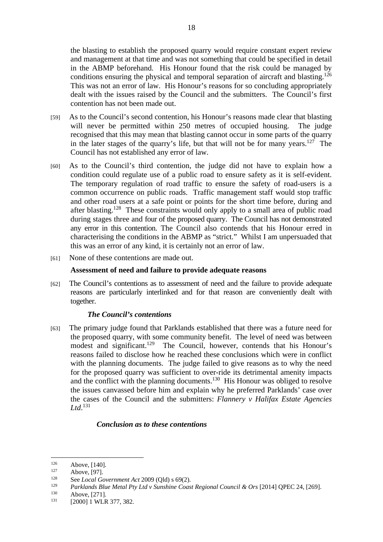the blasting to establish the proposed quarry would require constant expert review and management at that time and was not something that could be specified in detail in the ABMP beforehand. His Honour found that the risk could be managed by conditions ensuring the physical and temporal separation of aircraft and blasting.<sup>126</sup> This was not an error of law. His Honour's reasons for so concluding appropriately dealt with the issues raised by the Council and the submitters. The Council's first contention has not been made out.

- [59] As to the Council's second contention, his Honour's reasons made clear that blasting will never be permitted within 250 metres of occupied housing. The judge recognised that this may mean that blasting cannot occur in some parts of the quarry in the later stages of the quarry's life, but that will not be for many years.<sup>127</sup> The Council has not established any error of law.
- [60] As to the Council's third contention, the judge did not have to explain how a condition could regulate use of a public road to ensure safety as it is self-evident. The temporary regulation of road traffic to ensure the safety of road-users is a common occurrence on public roads. Traffic management staff would stop traffic and other road users at a safe point or points for the short time before, during and after blasting.128 These constraints would only apply to a small area of public road during stages three and four of the proposed quarry. The Council has not demonstrated any error in this contention. The Council also contends that his Honour erred in characterising the conditions in the ABMP as "strict." Whilst I am unpersuaded that this was an error of any kind, it is certainly not an error of law.
- [61] None of these contentions are made out.

#### **Assessment of need and failure to provide adequate reasons**

[62] The Council's contentions as to assessment of need and the failure to provide adequate reasons are particularly interlinked and for that reason are conveniently dealt with together.

# *The Council's contentions*

[63] The primary judge found that Parklands established that there was a future need for the proposed quarry, with some community benefit. The level of need was between modest and significant.<sup>129</sup> The Council, however, contends that his Honour's reasons failed to disclose how he reached these conclusions which were in conflict with the planning documents. The judge failed to give reasons as to why the need for the proposed quarry was sufficient to over-ride its detrimental amenity impacts and the conflict with the planning documents.<sup>130</sup> His Honour was obliged to resolve the issues canvassed before him and explain why he preferred Parklands' case over the cases of the Council and the submitters: *Flannery v Halifax Estate Agencies Ltd*. 131

# *Conclusion as to these contentions*

<sup>126</sup> Above, [140].<br>
127 Above, [97].<br> **128** See *Local Government Act* 2009 (Qld) s 69(2).

<sup>&</sup>lt;sup>129</sup> *Parklands Blue Metal Pty Ltd v Sunshine Coast Regional Council & Ors* [2014] QPEC 24, [269].<br>
<sup>130</sup> Above, [271]. [2000] 1 WLR 377, 382.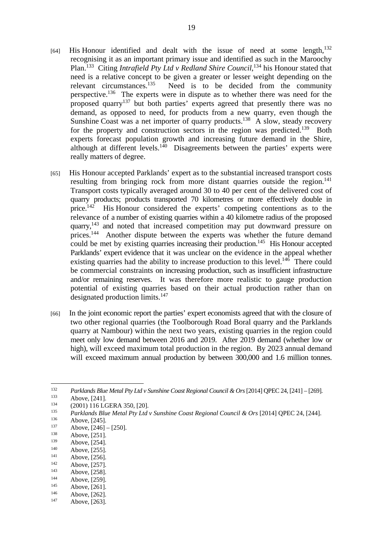- $[64]$  His Honour identified and dealt with the issue of need at some length,  $132$ recognising it as an important primary issue and identified as such in the Maroochy Plan.<sup>133</sup> Citing *Intrafield Pty Ltd v Redland Shire Council*,<sup>134</sup> his Honour stated that need is a relative concept to be given a greater or lesser weight depending on the relevant circumstances.<sup>135</sup> Need is to be decided from the community perspective.136 The experts were in dispute as to whether there was need for the proposed quarry<sup>137</sup> but both parties' experts agreed that presently there was no demand, as opposed to need, for products from a new quarry, even though the Sunshine Coast was a net importer of quarry products.<sup>138</sup> A slow, steady recovery for the property and construction sectors in the region was predicted.<sup>139</sup> Both experts forecast population growth and increasing future demand in the Shire, although at different levels.<sup>140</sup> Disagreements between the parties' experts were really matters of degree.
- [65] His Honour accepted Parklands' expert as to the substantial increased transport costs resulting from bringing rock from more distant quarries outside the region.<sup>141</sup> Transport costs typically averaged around 30 to 40 per cent of the delivered cost of quarry products; products transported 70 kilometres or more effectively double in price.142 His Honour considered the experts' competing contentions as to the relevance of a number of existing quarries within a 40 kilometre radius of the proposed quarry,143 and noted that increased competition may put downward pressure on prices.<sup>144</sup> Another dispute between the experts was whether the future demand could be met by existing quarries increasing their production.<sup>145</sup> His Honour accepted Parklands' expert evidence that it was unclear on the evidence in the appeal whether existing quarries had the ability to increase production to this level.<sup>146</sup> There could be commercial constraints on increasing production, such as insufficient infrastructure and/or remaining reserves. It was therefore more realistic to gauge production potential of existing quarries based on their actual production rather than on designated production limits.<sup>147</sup>
- [66] In the joint economic report the parties' expert economists agreed that with the closure of two other regional quarries (the Toolborough Road Boral quarry and the Parklands quarry at Nambour) within the next two years, existing quarries in the region could meet only low demand between 2016 and 2019. After 2019 demand (whether low or high), will exceed maximum total production in the region. By 2023 annual demand will exceed maximum annual production by between 300,000 and 1.6 million tonnes.

 $\overline{a}$ <sup>132</sup> Parklands Blue Metal Pty Ltd v Sunshine Coast Regional Council & Ors [2014] QPEC 24, [241] - [269].<br>
Above, [241].<br>
(2001) 116 LGERA 350, [20].<br> *Parklands Blue Metal Pty Ltd v Sunshine Coast Regional Council & Ors* 

<sup>139</sup> Above, [254].<br>
140 Above, [255].<br>
141 Above, [256].<br>
142 Above, [256].<br>
143 Above, [258].<br>
144 Above, [259].<br>
145 Above, [261].<br>
146 Above, [262].<br>
147 Above, [263].